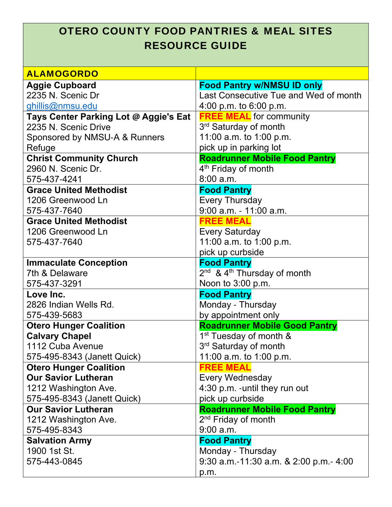## OTERO COUNTY FOOD PANTRIES & MEAL SITES RESOURCE GUIDE

| <b>ALAMOGORDO</b>                     |                                           |
|---------------------------------------|-------------------------------------------|
| <b>Aggie Cupboard</b>                 | <b>Food Pantry w/NMSU ID only</b>         |
| 2235 N. Scenic Dr                     | Last Consecutive Tue and Wed of month     |
| ghillis@nmsu.edu                      | 4:00 p.m. to 6:00 p.m.                    |
| Tays Center Parking Lot @ Aggie's Eat | <b>FREE MEAL</b> for community            |
| 2235 N. Scenic Drive                  | 3 <sup>rd</sup> Saturday of month         |
| Sponsored by NMSU-A & Runners         | 11:00 a.m. to 1:00 p.m.                   |
| Refuge                                | pick up in parking lot                    |
| <b>Christ Community Church</b>        | <b>Roadrunner Mobile Food Pantry</b>      |
| 2960 N. Scenic Dr.                    | 4 <sup>th</sup> Friday of month           |
| 575-437-4241                          | 8:00 a.m.                                 |
| <b>Grace United Methodist</b>         | <b>Food Pantry</b>                        |
| 1206 Greenwood Ln                     | <b>Every Thursday</b>                     |
| 575-437-7640                          | 9:00 a.m. - 11:00 a.m.                    |
| <b>Grace United Methodist</b>         | <b>FREE MEAL</b>                          |
| 1206 Greenwood Ln                     | <b>Every Saturday</b>                     |
| 575-437-7640                          | 11:00 a.m. to 1:00 p.m.                   |
|                                       | pick up curbside                          |
| <b>Immaculate Conception</b>          | <b>Food Pantry</b>                        |
| 7th & Delaware                        | $2nd$ & 4 <sup>th</sup> Thursday of month |
| 575-437-3291                          | Noon to 3:00 p.m.                         |
| Love Inc.                             | <b>Food Pantry</b>                        |
| 2826 Indian Wells Rd.                 | Monday - Thursday                         |
| 575-439-5683                          | by appointment only                       |
| <b>Otero Hunger Coalition</b>         | <b>Roadrunner Mobile Good Pantry</b>      |
| <b>Calvary Chapel</b>                 | 1 <sup>st</sup> Tuesday of month &        |
| 1112 Cuba Avenue                      | 3 <sup>rd</sup> Saturday of month         |
| 575-495-8343 (Janett Quick)           | 11:00 a.m. to 1:00 p.m.                   |
| <b>Otero Hunger Coalition</b>         | <b>FREE MEAL</b>                          |
| <b>Our Savior Lutheran</b>            | <b>Every Wednesday</b>                    |
| 1212 Washington Ave.                  | 4:30 p.m. - until they run out            |
| 575-495-8343 (Janett Quick)           | pick up curbside                          |
| <b>Our Savior Lutheran</b>            | <b>Roadrunner Mobile Food Pantry</b>      |
| 1212 Washington Ave.                  | 2 <sup>nd</sup> Friday of month           |
| 575-495-8343                          | 9:00 a.m.                                 |
| <b>Salvation Army</b>                 | <b>Food Pantry</b>                        |
| 1900 1st St.                          | Monday - Thursday                         |
| 575-443-0845                          | 9:30 a.m.-11:30 a.m. & 2:00 p.m.- 4:00    |
|                                       | p.m.                                      |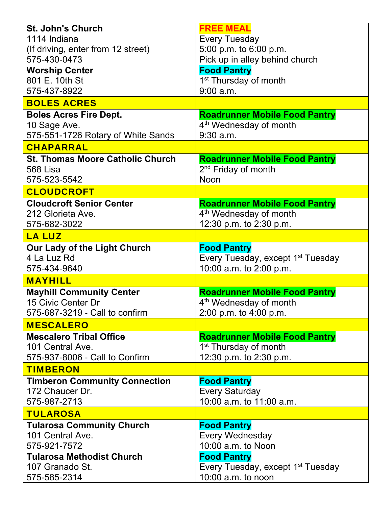| <b>St. John's Church</b>                | <b>FREE MEAL</b>                              |
|-----------------------------------------|-----------------------------------------------|
| 1114 Indiana                            | <b>Every Tuesday</b>                          |
| (If driving, enter from 12 street)      | 5:00 p.m. to 6:00 p.m.                        |
| 575-430-0473                            | Pick up in alley behind church                |
| <b>Worship Center</b>                   | <b>Food Pantry</b>                            |
| 801 E. 10th St                          | 1 <sup>st</sup> Thursday of month             |
| 575-437-8922                            | $9:00$ a.m.                                   |
| <b>BOLES ACRES</b>                      |                                               |
| <b>Boles Acres Fire Dept.</b>           | <b>Roadrunner Mobile Food Pantry</b>          |
| 10 Sage Ave.                            | 4 <sup>th</sup> Wednesday of month            |
| 575-551-1726 Rotary of White Sands      | $9:30$ a.m.                                   |
| CHAPARRAL                               |                                               |
| <b>St. Thomas Moore Catholic Church</b> | <b>Roadrunner Mobile Food Pantry</b>          |
| 568 Lisa                                | 2 <sup>nd</sup> Friday of month               |
| 575-523-5542                            | Noon                                          |
| <b>CLOUDCROFT</b>                       |                                               |
| <b>Cloudcroft Senior Center</b>         | <b>Roadrunner Mobile Food Pantry</b>          |
| 212 Glorieta Ave.                       | 4 <sup>th</sup> Wednesday of month            |
| 575-682-3022                            | 12:30 p.m. to 2:30 p.m.                       |
| <b>LA LUZ</b>                           |                                               |
| Our Lady of the Light Church            | <b>Food Pantry</b>                            |
| 4 La Luz Rd                             | Every Tuesday, except 1 <sup>st</sup> Tuesday |
| 575-434-9640                            | 10:00 a.m. to 2:00 p.m.                       |
| <b>MAYHILL</b>                          |                                               |
| <b>Mayhill Community Center</b>         | <b>Roadrunner Mobile Food Pantry</b>          |
| 15 Civic Center Dr                      | 4 <sup>th</sup> Wednesday of month            |
| 575-687-3219 - Call to confirm          | 2:00 p.m. to 4:00 p.m.                        |
| <b>MESCALERO</b>                        |                                               |
| <b>Mescalero Tribal Office</b>          | <b>Roadrunner Mobile Food Pantry</b>          |
| 101 Central Ave.                        | 1 <sup>st</sup> Thursday of month             |
| 575-937-8006 - Call to Confirm          | 12:30 p.m. to 2:30 p.m.                       |
| <b>TIMBERON</b>                         |                                               |
| <b>Timberon Community Connection</b>    | <b>Food Pantry</b>                            |
| 172 Chaucer Dr.                         | <b>Every Saturday</b>                         |
| 575-987-2713                            | 10:00 a.m. to 11:00 a.m.                      |
| <b>TULAROSA</b>                         |                                               |
| <b>Tularosa Community Church</b>        | <b>Food Pantry</b>                            |
| 101 Central Ave.                        | <b>Every Wednesday</b>                        |
| 575-921-7572                            | 10:00 a.m. to Noon                            |
| <b>Tularosa Methodist Church</b>        | <b>Food Pantry</b>                            |
| 107 Granado St.                         | Every Tuesday, except 1 <sup>st</sup> Tuesday |
| 575-585-2314                            | 10:00 a.m. to noon                            |